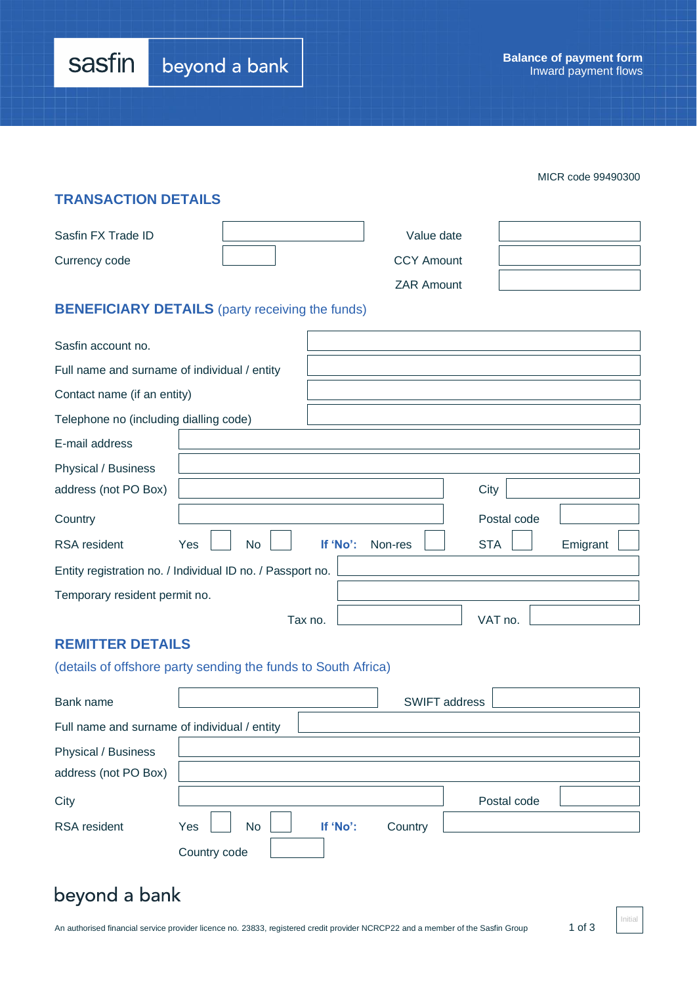| sasfin | beyond a bank |
|--------|---------------|
|--------|---------------|

|                                              |                                                               |         |                     |             | MICR code 99490300 |
|----------------------------------------------|---------------------------------------------------------------|---------|---------------------|-------------|--------------------|
| <b>TRANSACTION DETAILS</b>                   |                                                               |         |                     |             |                    |
| Sasfin FX Trade ID                           |                                                               |         | Value date          |             |                    |
| Currency code                                |                                                               |         | <b>CCY Amount</b>   |             |                    |
|                                              |                                                               |         | <b>ZAR Amount</b>   |             |                    |
|                                              | <b>BENEFICIARY DETAILS</b> (party receiving the funds)        |         |                     |             |                    |
| Sasfin account no.                           |                                                               |         |                     |             |                    |
| Full name and surname of individual / entity |                                                               |         |                     |             |                    |
| Contact name (if an entity)                  |                                                               |         |                     |             |                    |
| Telephone no (including dialling code)       |                                                               |         |                     |             |                    |
| E-mail address                               |                                                               |         |                     |             |                    |
| Physical / Business                          |                                                               |         |                     |             |                    |
| address (not PO Box)                         |                                                               |         |                     | City        |                    |
| Country                                      |                                                               |         |                     | Postal code |                    |
| <b>RSA</b> resident                          | <b>No</b><br>Yes                                              |         | If 'No':<br>Non-res | <b>STA</b>  | Emigrant           |
|                                              | Entity registration no. / Individual ID no. / Passport no.    |         |                     |             |                    |
| Temporary resident permit no.                |                                                               |         |                     |             |                    |
|                                              |                                                               | Tax no. |                     | VAT no.     |                    |
| <b>REMITTER DETAILS</b>                      |                                                               |         |                     |             |                    |
|                                              | (details of offshore party sending the funds to South Africa) |         |                     |             |                    |

| Bank name                                    |                  |          |         | <b>SWIFT address</b> |  |
|----------------------------------------------|------------------|----------|---------|----------------------|--|
| Full name and surname of individual / entity |                  |          |         |                      |  |
| Physical / Business                          |                  |          |         |                      |  |
| address (not PO Box)                         |                  |          |         |                      |  |
| City                                         |                  |          |         | Postal code          |  |
| <b>RSA</b> resident                          | <b>No</b><br>Yes | If 'No': | Country |                      |  |
|                                              | Country code     |          |         |                      |  |

# beyond a bank

Initial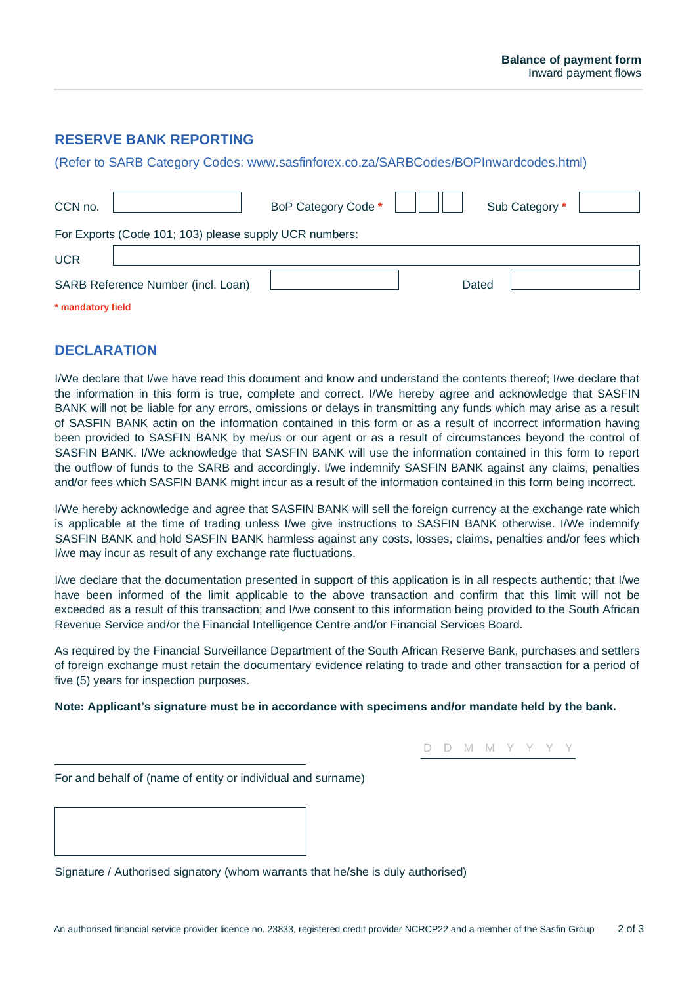## **RESERVE BANK REPORTING**

(Refer to SARB Category Codes: www.sasfinforex.co.za/SARBCodes/BOPInwardcodes.html)

| CCN no.                                                | BoP Category Code * |       | Sub Category * |  |  |  |
|--------------------------------------------------------|---------------------|-------|----------------|--|--|--|
| For Exports (Code 101; 103) please supply UCR numbers: |                     |       |                |  |  |  |
| <b>UCR</b>                                             |                     |       |                |  |  |  |
| SARB Reference Number (incl. Loan)                     |                     | Dated |                |  |  |  |
| * mandatory field                                      |                     |       |                |  |  |  |

### **DECLARATION**

I/We declare that I/we have read this document and know and understand the contents thereof; I/we declare that the information in this form is true, complete and correct. I/We hereby agree and acknowledge that SASFIN BANK will not be liable for any errors, omissions or delays in transmitting any funds which may arise as a result of SASFIN BANK actin on the information contained in this form or as a result of incorrect information having been provided to SASFIN BANK by me/us or our agent or as a result of circumstances beyond the control of SASFIN BANK. I/We acknowledge that SASFIN BANK will use the information contained in this form to report the outflow of funds to the SARB and accordingly. I/we indemnify SASFIN BANK against any claims, penalties and/or fees which SASFIN BANK might incur as a result of the information contained in this form being incorrect.

I/We hereby acknowledge and agree that SASFIN BANK will sell the foreign currency at the exchange rate which is applicable at the time of trading unless I/we give instructions to SASFIN BANK otherwise. I/We indemnify SASFIN BANK and hold SASFIN BANK harmless against any costs, losses, claims, penalties and/or fees which I/we may incur as result of any exchange rate fluctuations.

I/we declare that the documentation presented in support of this application is in all respects authentic; that I/we have been informed of the limit applicable to the above transaction and confirm that this limit will not be exceeded as a result of this transaction; and I/we consent to this information being provided to the South African Revenue Service and/or the Financial Intelligence Centre and/or Financial Services Board.

As required by the Financial Surveillance Department of the South African Reserve Bank, purchases and settlers of foreign exchange must retain the documentary evidence relating to trade and other transaction for a period of five (5) years for inspection purposes.

#### **Note: Applicant's signature must be in accordance with specimens and/or mandate held by the bank.**

D D M M Y Y Y Y

For and behalf of (name of entity or individual and surname)

Signature / Authorised signatory (whom warrants that he/she is duly authorised)